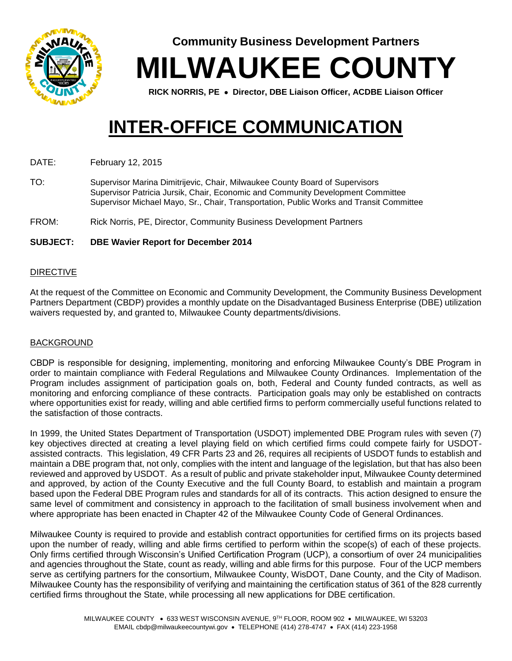

**Community Business Development Partners**

**MILWAUKEE COUNTY**

**RICK NORRIS, PE Director, DBE Liaison Officer, ACDBE Liaison Officer**

# **INTER-OFFICE COMMUNICATION**

DATE: February 12, 2015

TO: Supervisor Marina Dimitrijevic, Chair, Milwaukee County Board of Supervisors Supervisor Patricia Jursik, Chair, Economic and Community Development Committee Supervisor Michael Mayo, Sr., Chair, Transportation, Public Works and Transit Committee

FROM: Rick Norris, PE, Director, Community Business Development Partners

## **SUBJECT: DBE Wavier Report for December 2014**

#### DIRECTIVE

At the request of the Committee on Economic and Community Development, the Community Business Development Partners Department (CBDP) provides a monthly update on the Disadvantaged Business Enterprise (DBE) utilization waivers requested by, and granted to, Milwaukee County departments/divisions.

## BACKGROUND

CBDP is responsible for designing, implementing, monitoring and enforcing Milwaukee County's DBE Program in order to maintain compliance with Federal Regulations and Milwaukee County Ordinances. Implementation of the Program includes assignment of participation goals on, both, Federal and County funded contracts, as well as monitoring and enforcing compliance of these contracts. Participation goals may only be established on contracts where opportunities exist for ready, willing and able certified firms to perform commercially useful functions related to the satisfaction of those contracts.

In 1999, the United States Department of Transportation (USDOT) implemented DBE Program rules with seven (7) key objectives directed at creating a level playing field on which certified firms could compete fairly for USDOTassisted contracts. This legislation, 49 CFR Parts 23 and 26, requires all recipients of USDOT funds to establish and maintain a DBE program that, not only, complies with the intent and language of the legislation, but that has also been reviewed and approved by USDOT. As a result of public and private stakeholder input, Milwaukee County determined and approved, by action of the County Executive and the full County Board, to establish and maintain a program based upon the Federal DBE Program rules and standards for all of its contracts. This action designed to ensure the same level of commitment and consistency in approach to the facilitation of small business involvement when and where appropriate has been enacted in Chapter 42 of the Milwaukee County Code of General Ordinances.

Milwaukee County is required to provide and establish contract opportunities for certified firms on its projects based upon the number of ready, willing and able firms certified to perform within the scope(s) of each of these projects. Only firms certified through Wisconsin's Unified Certification Program (UCP), a consortium of over 24 municipalities and agencies throughout the State, count as ready, willing and able firms for this purpose. Four of the UCP members serve as certifying partners for the consortium, Milwaukee County, WisDOT, Dane County, and the City of Madison. Milwaukee County has the responsibility of verifying and maintaining the certification status of 361 of the 828 currently certified firms throughout the State, while processing all new applications for DBE certification.